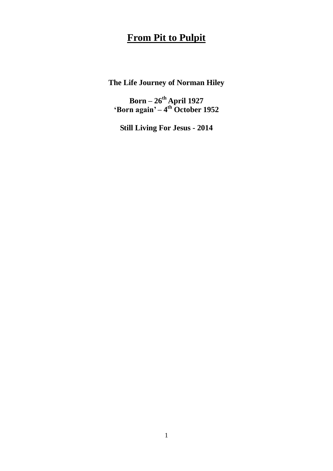## **From Pit to Pulpit**

**The Life Journey of Norman Hiley**

**Born – 26th April 1927 'Born again' – 4 th October 1952**

**Still Living For Jesus - 2014**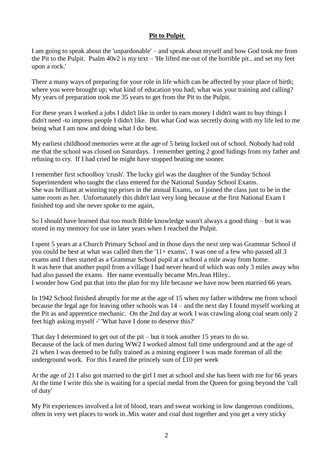## **Pit to Pulpit**

I am going to speak about the 'unpardonable' – and speak about myself and how God took me from the Pit to the Pulpit. Psalm 40v2 is my text – 'He lifted me out of the horrible pit.. and set my feet upon a rock.'

There a many ways of preparing for your role in life which can be affected by your place of birth; where you were brought up; what kind of education you had; what was your training and calling? My years of preparation took me 35 years to get from the Pit to the Pulpit.

For these years I worked a jobs I didn't like in order to earn money I didn't want to buy things I didn't need -to impress people I didn't like. But what God was secretly doing with my life led to me being what I am now and doing what I do best.

My earliest childhood memories were at the age of 5 being locked out of school. Nobody had told me that the school was closed on Saturdays. I remember getting 2 good hidings from my father and refusing to cry. If I had cried he might have stopped beating me sooner.

I remember first schoolboy 'crush'. The lucky girl was the daughter of the Sunday School Superintendent who taught the class entered for the National Sunday School Exams. She was brilliant at winning top prises in the annual Exams, so I joined the class just to be in the same room as her. Unfortunately this didn't last very long because at the first National Exam I finished top and she never spoke to me again,

So I should have learned that too much Bible knowledge wasn't always a good thing – but it was stored in my memory for use in later years when I reached the Pulpit.

I spent 5 years at a Church Primary School and in those days the next step was Grammar School if you could be best at what was called then the '11+ exams'. I was one of a few who passed all 3 exams and I then started as a Grammar School pupil at a school a mile away from home. It was here that another pupil from a village I had never heard of which was only 3 miles away who had also passed the exams. Her name eventually became Mrs.Jean Hiley.. I wonder how God put that into the plan for my life because we have now been married 66 years.

In 1942 School finished abruptly for me at the age of 15 when my father withdrew me from school because the legal age for leaving other schools was 14 – and the next day I found myself working at the Pit as and apprentice mechanic. On the 2nd day at work I was crawling along coal seam only 2 feet high asking myself -' 'What have I done to deserve this?'

That day I determined to get out of the pit – but it took another 15 years to do so. Because of the lack of men during WW2 I worked almost full time underground and at the age of 21 when I was deemed to be fully trained as a mining engineer I was made foreman of all the underground work. For this I eared the princely sum of £10 per week

At the age of 21 I also got married to the girl I met at school and she has been with me for 66 years At the time I write this she is waiting for a special medal from the Queen for going beyond the 'call of duty'

My Pit experiences involved a lot of blood, tears and sweat working in low dangerous conditions, often in very wet places to work in..Mix water and coal dust together and you get a very sticky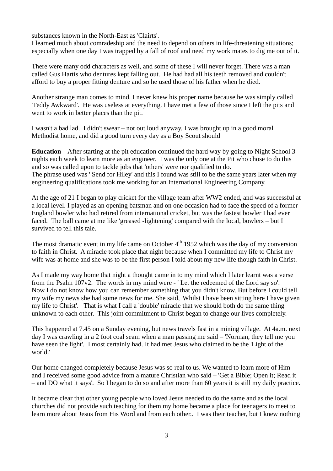substances known in the North-East as 'Clairts'.

I learned much about comradeship and the need to depend on others in life-threatening situations; especially when one day I was trapped by a fall of roof and need my work mates to dig me out of it.

There were many odd characters as well, and some of these I will never forget. There was a man called Gus Hartis who dentures kept falling out. He had had all his teeth removed and couldn't afford to buy a proper fitting denture and so he used those of his father when he died.

Another strange man comes to mind. I never knew his proper name because he was simply called 'Teddy Awkward'. He was useless at everything. I have met a few of those since I left the pits and went to work in better places than the pit.

I wasn't a bad lad. I didn't swear – not out loud anyway. I was brought up in a good moral Methodist home, and did a good turn every day as a Boy Scout should

**Education –** After starting at the pit education continued the hard way by going to Night School 3 nights each week to learn more as an engineer. I was the only one at the Pit who chose to do this and so was called upon to tackle jobs that 'others' were nor qualified to do. The phrase used was ' Send for Hiley' and this I found was still to be the same years later when my engineering qualifications took me working for an International Engineering Company.

At the age of 21 I began to play cricket for the village team after WW2 ended, and was successful at a local level. I played as an opening batsman and on one occasion had to face the speed of a former England bowler who had retired from international cricket, but was the fastest bowler I had ever faced. The ball came at me like 'greased -lightening' compared with the local, bowlers – but I survived to tell this tale.

The most dramatic event in my life came on October  $4<sup>th</sup>$  1952 which was the day of my conversion to faith in Christ. A miracle took place that night because when I committed my life to Christ my wife was at home and she was to be the first person I told about my new life though faith in Christ.

As I made my way home that night a thought came in to my mind which I later learnt was a verse from the Psalm 107v2. The words in my mind were - ' Let the redeemed of the Lord say so'. Now I do not know how you can remember something that you didn't know. But before I could tell my wife my news she had some news for me. She said, 'Whilst I have been sitting here I have given my life to Christ'. That is what I call a 'double' miracle that we should both do the same thing unknown to each other. This joint commitment to Christ began to change our lives completely.

This happened at 7.45 on a Sunday evening, but news travels fast in a mining village. At 4a.m. next day I was crawling in a 2 foot coal seam when a man passing me said – 'Norman, they tell me you have seen the light'. I most certainly had. It had met Jesus who claimed to be the 'Light of the world.'

Our home changed completely because Jesus was so real to us. We wanted to learn more of Him and I received some good advice from a mature Christian who said – 'Get a Bible; Open it; Read it – and DO what it says'. So I began to do so and after more than 60 years it is still my daily practice.

It became clear that other young people who loved Jesus needed to do the same and as the local churches did not provide such teaching for them my home became a place for teenagers to meet to learn more about Jesus from His Word and from each other.. I was their teacher, but I knew nothing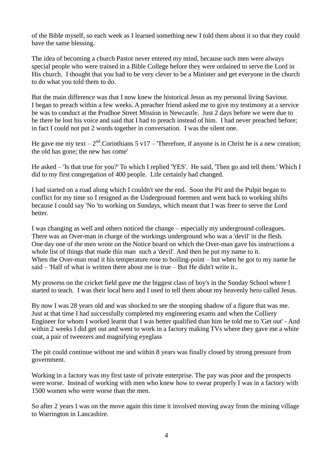of the Bible myself, so each week as I learned something new I told them about it so that they could have the same blessing.

The idea of becoming a church Pastor never entered my mind, because such men were always special people who were trained in a Bible College before they were ordained to serve the Lord in His church. I thought that you had to be very clever to be a Minister and get everyone in the church to do what you told them to do.

But the main difference was that I now knew the historical Jesus as my personal living Saviour. I began to preach within a few weeks. A preacher friend asked me to give my testimony at a service he was to conduct at the Prudhoe Street Mission in Newcastle. Just 2 days before we were due to be there he lost his voice and said that I had to preach instead of him. I had never preached before; in fact I could not put 2 words together in conversation. I was the silent one.

He gave me my text –  $2<sup>nd</sup>$ . Corinthians 5 v17 – 'Therefore, if anyone is in Christ he is a new creation; the old has gone; the new has come'

He asked – 'Is that true for you?' To which I replied 'YES'. He said, 'Then go and tell them.' Which I did to my first congregation of 400 people. Life certainly had changed.

I had started on a road along which I couldn't see the end. Soon the Pit and the Pulpit began to conflict for my time so I resigned as the Underground foremen and went back to working shifts because I could say 'No 'to working on Sundays, which meant that I was freer to serve the Lord better.

I was changing as well and others noticed the change – especially my underground colleagues. There was an Over-man in charge of the workings underground who was a 'devil' in the flesh. One day one of the men wrote on the Notice board on which the Over-man gave his instructions a whole list of things that made this man such a 'devil'. And then he put my name to it. When the Over-man read it his temperature rose to boiling-point – but when he got to my name he said – 'Half of what is written there about me is true – But He didn't write it..

My prowess on the cricket field gave me the biggest class of boy's in the Sunday School where I started to teach. I was their local hero and I used to tell them about my heavenly hero called Jesus.

By now I was 28 years old and was shocked to see the stooping shadow of a figure that was me. Just at that time I had successfully completed my engineering exams and when the Colliery Engineer for whom I worked learnt that I was better qualified than him he told me to 'Get out' - And within 2 weeks I did get out and went to work in a factory making TVs where they gave me a white coat, a pair of tweezers and magnifying eyeglass

The pit could continue without me and within 8 years was finally closed by strong pressure from government.

Working in a factory was my first taste of private enterprise. The pay was poor and the prospects were worse. Instead of working with men who knew how to swear properly I was in a factory with 1500 women who were worse than the men.

So after 2 years I was on the move again this time it involved moving away from the mining village to Warrington in Lancashire.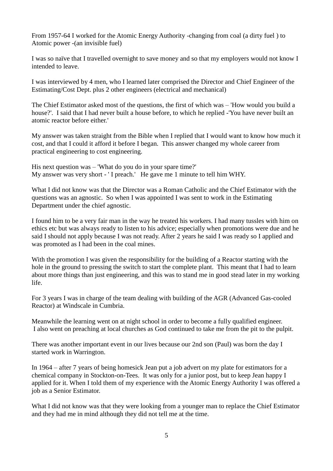From 1957-64 I worked for the Atomic Energy Authority -changing from coal (a dirty fuel ) to Atomic power -(an invisible fuel)

I was so naïve that I travelled overnight to save money and so that my employers would not know I intended to leave.

I was interviewed by 4 men, who I learned later comprised the Director and Chief Engineer of the Estimating/Cost Dept. plus 2 other engineers (electrical and mechanical)

The Chief Estimator asked most of the questions, the first of which was – 'How would you build a house?'. I said that I had never built a house before, to which he replied -'You have never built an atomic reactor before either.'

My answer was taken straight from the Bible when I replied that I would want to know how much it cost, and that I could it afford it before I began. This answer changed my whole career from practical engineering to cost engineering.

His next question was – 'What do you do in your spare time?' My answer was very short - ' I preach.' He gave me 1 minute to tell him WHY.

What I did not know was that the Director was a Roman Catholic and the Chief Estimator with the questions was an agnostic. So when I was appointed I was sent to work in the Estimating Department under the chief agnostic.

I found him to be a very fair man in the way he treated his workers. I had many tussles with him on ethics etc but was always ready to listen to his advice; especially when promotions were due and he said I should not apply because I was not ready. After 2 years he said I was ready so I applied and was promoted as I had been in the coal mines.

With the promotion I was given the responsibility for the building of a Reactor starting with the hole in the ground to pressing the switch to start the complete plant. This meant that I had to learn about more things than just engineering, and this was to stand me in good stead later in my working life.

For 3 years I was in charge of the team dealing with building of the AGR (Advanced Gas-cooled Reactor) at Windscale in Cumbria.

Meanwhile the learning went on at night school in order to become a fully qualified engineer. I also went on preaching at local churches as God continued to take me from the pit to the pulpit.

There was another important event in our lives because our 2nd son (Paul) was born the day I started work in Warrington.

In 1964 – after 7 years of being homesick Jean put a job advert on my plate for estimators for a chemical company in Stockton-on-Tees. It was only for a junior post, but to keep Jean happy I applied for it. When I told them of my experience with the Atomic Energy Authority I was offered a job as a Senior Estimator.

What I did not know was that they were looking from a younger man to replace the Chief Estimator and they had me in mind although they did not tell me at the time.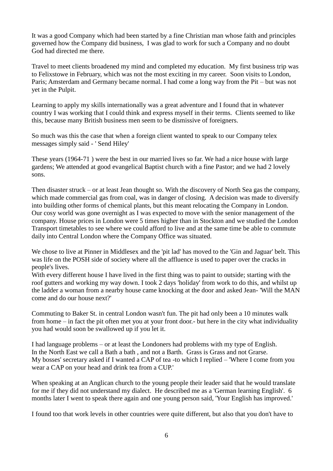It was a good Company which had been started by a fine Christian man whose faith and principles governed how the Company did business, I was glad to work for such a Company and no doubt God had directed me there.

Travel to meet clients broadened my mind and completed my education. My first business trip was to Felixstowe in February, which was not the most exciting in my career. Soon visits to London, Paris; Amsterdam and Germany became normal. I had come a long way from the Pit – but was not yet in the Pulpit.

Learning to apply my skills internationally was a great adventure and I found that in whatever country I was working that I could think and express myself in their terms. Clients seemed to like this, because many British business men seem to be dismissive of foreigners.

So much was this the case that when a foreign client wanted to speak to our Company telex messages simply said - ' Send Hiley'

These years (1964-71 ) were the best in our married lives so far. We had a nice house with large gardens; We attended at good evangelical Baptist church with a fine Pastor; and we had 2 lovely sons.

Then disaster struck – or at least Jean thought so. With the discovery of North Sea gas the company, which made commercial gas from coal, was in danger of closing. A decision was made to diversify into building other forms of chemical plants, but this meant relocating the Company in London. Our cosy world was gone overnight as I was expected to move with the senior management of the company. House prices in London were 5 times higher than in Stockton and we studied the London Transport timetables to see where we could afford to live and at the same time be able to commute daily into Central London where the Company Office was situated.

We chose to live at Pinner in Middlesex and the 'pit lad' has moved to the 'Gin and Jaguar' belt. This was life on the POSH side of society where all the affluence is used to paper over the cracks in people's lives.

With every different house I have lived in the first thing was to paint to outside; starting with the roof gutters and working my way down. I took 2 days 'holiday' from work to do this, and whilst up the ladder a woman from a nearby house came knocking at the door and asked Jean- 'Will the MAN come and do our house next?'

Commuting to Baker St. in central London wasn't fun. The pit had only been a 10 minutes walk from home – in fact the pit often met you at your front door.- but here in the city what individuality you had would soon be swallowed up if you let it.

I had language problems – or at least the Londoners had problems with my type of English. In the North East we call a Bath a bath , and not a Barth. Grass is Grass and not Grarse. My bosses' secretary asked if I wanted a CAP of tea -to which I replied – 'Where I come from you wear a CAP on your head and drink tea from a CUP.'

When speaking at an Anglican church to the young people their leader said that he would translate for me if they did not understand my dialect. He described me as a 'German learning English'. 6 months later I went to speak there again and one young person said, 'Your English has improved.'

I found too that work levels in other countries were quite different, but also that you don't have to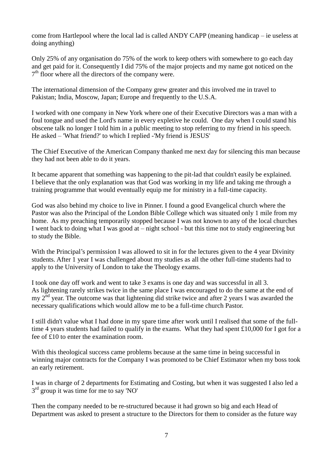come from Hartlepool where the local lad is called ANDY CAPP (meaning handicap – ie useless at doing anything)

Only 25% of any organisation do 75% of the work to keep others with somewhere to go each day and get paid for it. Consequently I did 75% of the major projects and my name got noticed on the 7<sup>th</sup> floor where all the directors of the company were.

The international dimension of the Company grew greater and this involved me in travel to Pakistan; India, Moscow, Japan; Europe and frequently to the U.S.A.

I worked with one company in New York where one of their Executive Directors was a man with a foul tongue and used the Lord's name in every expletive he could. One day when I could stand his obscene talk no longer I told him in a public meeting to stop referring to my friend in his speech. He asked – 'What friend?' to which I replied -'My friend is JESUS'

The Chief Executive of the American Company thanked me next day for silencing this man because they had not been able to do it years.

It became apparent that something was happening to the pit-lad that couldn't easily be explained. I believe that the only explanation was that God was working in my life and taking me through a training programme that would eventually equip me for ministry in a full-time capacity.

God was also behind my choice to live in Pinner. I found a good Evangelical church where the Pastor was also the Principal of the London Bible College which was situated only 1 mile from my home. As my preaching temporarily stopped because I was not known to any of the local churches I went back to doing what I was good at – night school - but this time not to study engineering but to study the Bible.

With the Principal's permission I was allowed to sit in for the lectures given to the 4 year Divinity students. After 1 year I was challenged about my studies as all the other full-time students had to apply to the University of London to take the Theology exams.

I took one day off work and went to take 3 exams is one day and was successful in all 3. As lightening rarely strikes twice in the same place I was encouraged to do the same at the end of my  $2<sup>nd</sup>$  year. The outcome was that lightening did strike twice and after 2 years I was awarded the necessary qualifications which would allow me to be a full-time church Pastor.

I still didn't value what I had done in my spare time after work until I realised that some of the fulltime 4 years students had failed to qualify in the exams. What they had spent £10,000 for I got for a fee of £10 to enter the examination room.

With this theological success came problems because at the same time in being successful in winning major contracts for the Company I was promoted to be Chief Estimator when my boss took an early retirement.

I was in charge of 2 departments for Estimating and Costing, but when it was suggested I also led a  $3<sup>rd</sup>$  group it was time for me to say 'NO'

Then the company needed to be re-structured because it had grown so big and each Head of Department was asked to present a structure to the Directors for them to consider as the future way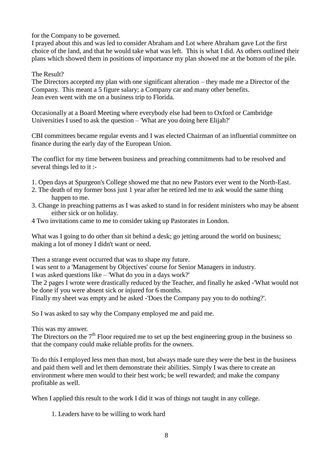for the Company to be governed.

I prayed about this and was led to consider Abraham and Lot where Abraham gave Lot the first choice of the land, and that he would take what was left. This is what I did. As others outlined their plans which showed them in positions of importance my plan showed me at the bottom of the pile.

The Result?

The Directors accepted my plan with one significant alteration – they made me a Director of the Company. This meant a 5 figure salary; a Company car and many other benefits. Jean even went with me on a business trip to Florida.

Occasionally at a Board Meeting where everybody else had been to Oxford or Cambridge Universities I used to ask the question – 'What are you doing here Elijah?'

CBI committees became regular events and I was elected Chairman of an influential committee on finance during the early day of the European Union.

The conflict for my time between business and preaching commitments had to be resolved and several things led to it :-

- 1. Open days at Spurgeon's College showed me that no new Pastors ever went to the North-East.
- 2. The death of my former boss just 1 year after he retired led me to ask would the same thing happen to me.
- 3. Change in preaching patterns as I was asked to stand in for resident ministers who may be absent either sick or on holiday.
- 4 Two invitations came to me to consider taking up Pastorates in London.

What was I going to do other than sit behind a desk; go jetting around the world on business; making a lot of money I didn't want or need.

Then a strange event occurred that was to shape my future.

I was sent to a 'Management by Objectives' course for Senior Managers in industry.

I was asked questions like – 'What do you in a days work?'

The 2 pages I wrote were drastically reduced by the Teacher, and finally he asked -'What would not be done if you were absent sick or injured for 6 months.

Finally my sheet was empty and he asked -'Does the Company pay you to do nothing?'.

So I was asked to say why the Company employed me and paid me.

This was my answer.

The Directors on the  $7<sup>th</sup>$  Floor required me to set up the best engineering group in the business so that the company could make reliable profits for the owners.

To do this I employed less men than most, but always made sure they were the best in the business and paid them well and let them demonstrate their abilities. Simply I was there to create an environment where men would to their best work; be well rewarded; and make the company profitable as well.

When I applied this result to the work I did it was of things not taught in any college.

1. Leaders have to be willing to work hard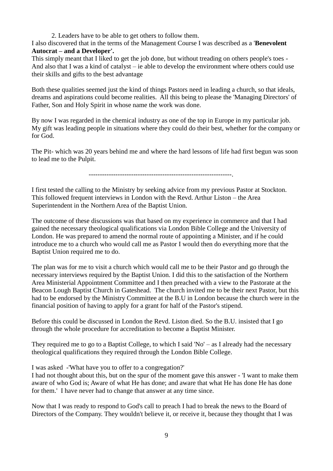2. Leaders have to be able to get others to follow them.

I also discovered that in the terms of the Management Course I was described as a '**Benevolent Autocrat – and a Developer'.**

This simply meant that I liked to get the job done, but without treading on others people's toes - And also that I was a kind of catalyst – ie able to develop the environment where others could use their skills and gifts to the best advantage

Both these qualities seemed just the kind of things Pastors need in leading a church, so that ideals, dreams and aspirations could become realities. All this being to please the 'Managing Directors' of Father, Son and Holy Spirit in whose name the work was done.

By now I was regarded in the chemical industry as one of the top in Europe in my particular job. My gift was leading people in situations where they could do their best, whether for the company or for God.

The Pit- which was 20 years behind me and where the hard lessons of life had first begun was soon to lead me to the Pulpit.

----------------------------------------------------------------.

I first tested the calling to the Ministry by seeking advice from my previous Pastor at Stockton. This followed frequent interviews in London with the Revd. Arthur Liston – the Area Superintendent in the Northern Area of the Baptist Union.

The outcome of these discussions was that based on my experience in commerce and that I had gained the necessary theological qualifications via London Bible College and the University of London. He was prepared to amend the normal route of appointing a Minister, and if he could introduce me to a church who would call me as Pastor I would then do everything more that the Baptist Union required me to do.

The plan was for me to visit a church which would call me to be their Pastor and go through the necessary interviews required by the Baptist Union. I did this to the satisfaction of the Northern Area Ministerial Appointment Committee and I then preached with a view to the Pastorate at the Beacon Lough Baptist Church in Gateshead. The church invited me to be their next Pastor, but this had to be endorsed by the Ministry Committee at the B.U in London because the church were in the financial position of having to apply for a grant for half of the Pastor's stipend.

Before this could be discussed in London the Revd. Liston died. So the B.U. insisted that I go through the whole procedure for accreditation to become a Baptist Minister.

They required me to go to a Baptist College, to which I said 'No' – as I already had the necessary theological qualifications they required through the London Bible College.

I was asked -'What have you to offer to a congregation?'

I had not thought about this, but on the spur of the moment gave this answer - 'I want to make them aware of who God is; Aware of what He has done; and aware that what He has done He has done for them.' I have never had to change that answer at any time since.

Now that I was ready to respond to God's call to preach I had to break the news to the Board of Directors of the Company. They wouldn't believe it, or receive it, because they thought that I was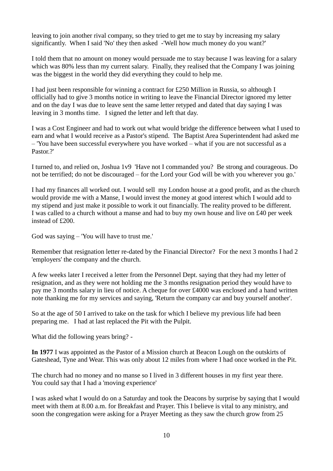leaving to join another rival company, so they tried to get me to stay by increasing my salary significantly. When I said 'No' they then asked -'Well how much money do you want?'

I told them that no amount on money would persuade me to stay because I was leaving for a salary which was 80% less than my current salary. Finally, they realised that the Company I was joining was the biggest in the world they did everything they could to help me.

I had just been responsible for winning a contract for £250 Million in Russia, so although I officially had to give 3 months notice in writing to leave the Financial Director ignored my letter and on the day I was due to leave sent the same letter retyped and dated that day saying I was leaving in 3 months time. I signed the letter and left that day.

I was a Cost Engineer and had to work out what would bridge the difference between what I used to earn and what I would receive as a Pastor's stipend. The Baptist Area Superintendent had asked me – 'You have been successful everywhere you have worked – what if you are not successful as a Pastor?'

I turned to, and relied on, Joshua 1v9 'Have not I commanded you? Be strong and courageous. Do not be terrified; do not be discouraged – for the Lord your God will be with you wherever you go.'

I had my finances all worked out. I would sell my London house at a good profit, and as the church would provide me with a Manse, I would invest the money at good interest which I would add to my stipend and just make it possible to work it out financially. The reality proved to be different. I was called to a church without a manse and had to buy my own house and live on £40 per week instead of £200.

God was saying – 'You will have to trust me.'

Remember that resignation letter re-dated by the Financial Director? For the next 3 months I had 2 'employers' the company and the church.

A few weeks later I received a letter from the Personnel Dept. saying that they had my letter of resignation, and as they were not holding me the 3 months resignation period they would have to pay me 3 months salary in lieu of notice. A cheque for over £4000 was enclosed and a hand written note thanking me for my services and saying, 'Return the company car and buy yourself another'.

So at the age of 50 I arrived to take on the task for which I believe my previous life had been preparing me. I had at last replaced the Pit with the Pulpit.

What did the following years bring? -

**In 1977** I was appointed as the Pastor of a Mission church at Beacon Lough on the outskirts of Gateshead, Tyne and Wear. This was only about 12 miles from where I had once worked in the Pit.

The church had no money and no manse so I lived in 3 different houses in my first year there. You could say that I had a 'moving experience'

I was asked what I would do on a Saturday and took the Deacons by surprise by saying that I would meet with them at 8.00 a.m. for Breakfast and Prayer. This I believe is vital to any ministry, and soon the congregation were asking for a Prayer Meeting as they saw the church grow from 25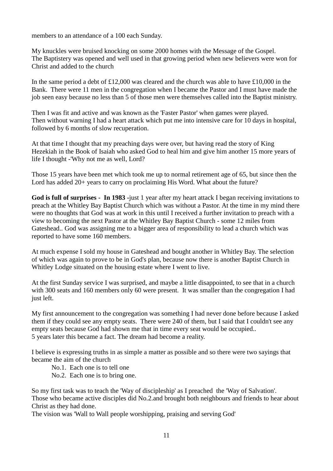members to an attendance of a 100 each Sunday.

My knuckles were bruised knocking on some 2000 homes with the Message of the Gospel. The Baptistery was opened and well used in that growing period when new believers were won for Christ and added to the church

In the same period a debt of  $\text{\pounds}12,000$  was cleared and the church was able to have  $\text{\pounds}10,000$  in the Bank. There were 11 men in the congregation when I became the Pastor and I must have made the job seen easy because no less than 5 of those men were themselves called into the Baptist ministry.

Then I was fit and active and was known as the 'Faster Pastor' when games were played. Then without warning I had a heart attack which put me into intensive care for 10 days in hospital, followed by 6 months of slow recuperation.

At that time I thought that my preaching days were over, but having read the story of King Hezekiah in the Book of Isaiah who asked God to heal him and give him another 15 more years of life I thought -'Why not me as well, Lord?

Those 15 years have been met which took me up to normal retirement age of 65, but since then the Lord has added 20+ years to carry on proclaiming His Word. What about the future?

**God is full of surprises - In 1983 -**just 1 year after my heart attack I began receiving invitations to preach at the Whitley Bay Baptist Church which was without a Pastor. At the time in my mind there were no thoughts that God was at work in this until I received a further invitation to preach with a view to becoming the next Pastor at the Whitley Bay Baptist Church - some 12 miles from Gateshead.. God was assigning me to a bigger area of responsibility to lead a church which was reported to have some 160 members.

At much expense I sold my house in Gateshead and bought another in Whitley Bay. The selection of which was again to prove to be in God's plan, because now there is another Baptist Church in Whitley Lodge situated on the housing estate where I went to live.

At the first Sunday service I was surprised, and maybe a little disappointed, to see that in a church with 300 seats and 160 members only 60 were present. It was smaller than the congregation I had just left.

My first announcement to the congregation was something I had never done before because I asked them if they could see any empty seats. There were 240 of them, but I said that I couldn't see any empty seats because God had shown me that in time every seat would be occupied.. 5 years later this became a fact. The dream had become a reality.

I believe is expressing truths in as simple a matter as possible and so there were two sayings that became the aim of the church

No.1. Each one is to tell one

No.2. Each one is to bring one.

So my first task was to teach the 'Way of discipleship' as I preached the 'Way of Salvation'. Those who became active disciples did No.2.and brought both neighbours and friends to hear about Christ as they had done.

The vision was 'Wall to Wall people worshipping, praising and serving God'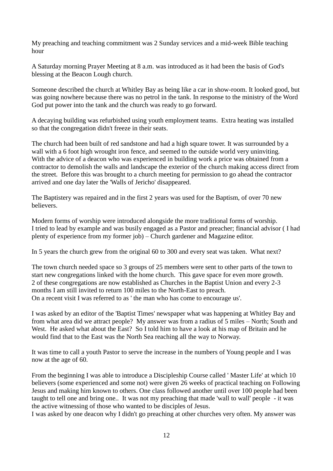My preaching and teaching commitment was 2 Sunday services and a mid-week Bible teaching hour

A Saturday morning Prayer Meeting at 8 a.m. was introduced as it had been the basis of God's blessing at the Beacon Lough church.

Someone described the church at Whitley Bay as being like a car in show-room. It looked good, but was going nowhere because there was no petrol in the tank. In response to the ministry of the Word God put power into the tank and the church was ready to go forward.

A decaying building was refurbished using youth employment teams. Extra heating was installed so that the congregation didn't freeze in their seats.

The church had been built of red sandstone and had a high square tower. It was surrounded by a wall with a 6 foot high wrought iron fence, and seemed to the outside world very uninviting. With the advice of a deacon who was experienced in building work a price was obtained from a contractor to demolish the walls and landscape the exterior of the church making access direct from the street. Before this was brought to a church meeting for permission to go ahead the contractor arrived and one day later the 'Walls of Jericho' disappeared.

The Baptistery was repaired and in the first 2 years was used for the Baptism, of over 70 new believers.

Modern forms of worship were introduced alongside the more traditional forms of worship. I tried to lead by example and was busily engaged as a Pastor and preacher; financial advisor ( I had plenty of experience from my former job) – Church gardener and Magazine editor.

In 5 years the church grew from the original 60 to 300 and every seat was taken. What next?

The town church needed space so 3 groups of 25 members were sent to other parts of the town to start new congregations linked with the home church. This gave space for even more growth. 2 of these congregations are now established as Churches in the Baptist Union and every 2-3 months I am still invited to return 100 miles to the North-East to preach. On a recent visit I was referred to as ' the man who has come to encourage us'.

I was asked by an editor of the 'Baptist Times' newspaper what was happening at Whitley Bay and from what area did we attract people? My answer was from a radius of 5 miles – North; South and West. He asked what about the East? So I told him to have a look at his map of Britain and he would find that to the East was the North Sea reaching all the way to Norway.

It was time to call a youth Pastor to serve the increase in the numbers of Young people and I was now at the age of 60.

From the beginning I was able to introduce a Discipleship Course called ' Master Life' at which 10 believers (some experienced and some not) were given 26 weeks of practical teaching on Following Jesus and making him known to others. One class followed another until over 100 people had been taught to tell one and bring one.. It was not my preaching that made 'wall to wall' people - it was the active witnessing of those who wanted to be disciples of Jesus.

I was asked by one deacon why I didn't go preaching at other churches very often. My answer was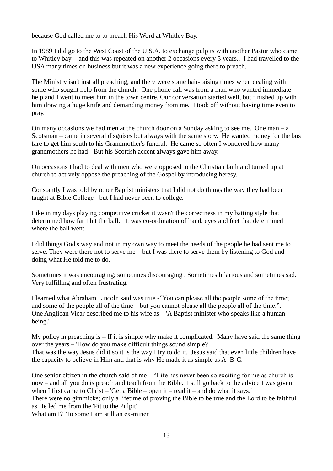because God called me to to preach His Word at Whitley Bay.

In 1989 I did go to the West Coast of the U.S.A. to exchange pulpits with another Pastor who came to Whitley bay - and this was repeated on another 2 occasions every 3 years.. I had travelled to the USA many times on business but it was a new experience going there to preach.

The Ministry isn't just all preaching, and there were some hair-raising times when dealing with some who sought help from the church. One phone call was from a man who wanted immediate help and I went to meet him in the town centre. Our conversation started well, but finished up with him drawing a huge knife and demanding money from me. I took off without having time even to pray.

On many occasions we had men at the church door on a Sunday asking to see me. One man – a Scotsman – came in several disguises but always with the same story. He wanted money for the bus fare to get him south to his Grandmother's funeral. He came so often I wondered how many grandmothers he had - But his Scottish accent always gave him away.

On occasions I had to deal with men who were opposed to the Christian faith and turned up at church to actively oppose the preaching of the Gospel by introducing heresy.

Constantly I was told by other Baptist ministers that I did not do things the way they had been taught at Bible College - but I had never been to college.

Like in my days playing competitive cricket it wasn't the correctness in my batting style that determined how far I hit the ball.. It was co-ordination of hand, eyes and feet that determined where the ball went.

I did things God's way and not in my own way to meet the needs of the people he had sent me to serve. They were there not to serve me – but I was there to serve them by listening to God and doing what He told me to do.

Sometimes it was encouraging; sometimes discouraging . Sometimes hilarious and sometimes sad. Very fulfilling and often frustrating.

I learned what Abraham Lincoln said was true -"You can please all the people some of the time; and some of the people all of the time – but you cannot please all the people all of the time.". One Anglican Vicar described me to his wife as – 'A Baptist minister who speaks like a human being.'

My policy in preaching is  $-$  If it is simple why make it complicated. Many have said the same thing over the years – 'How do you make difficult things sound simple? That was the way Jesus did it so it is the way I try to do it. Jesus said that even little children have the capacity to believe in Him and that is why He made it as simple as A -B-C.

One senior citizen in the church said of me – "Life has never been so exciting for me as church is now – and all you do is preach and teach from the Bible. I still go back to the advice I was given when I first came to Christ – 'Get a Bible – open it – read it – and do what it says.' There were no gimmicks; only a lifetime of proving the Bible to be true and the Lord to be faithful as He led me from the 'Pit to the Pulpit'. What am I? To some I am still an ex-miner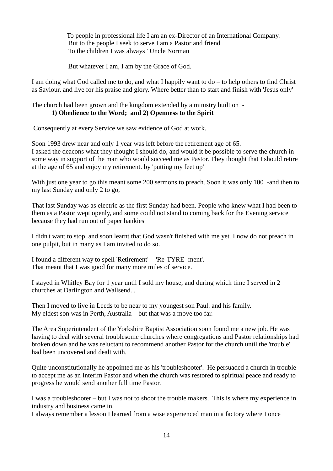To people in professional life I am an ex-Director of an International Company. But to the people I seek to serve I am a Pastor and friend To the children I was always ' Uncle Norman

But whatever I am, I am by the Grace of God.

I am doing what God called me to do, and what I happily want to do – to help others to find Christ as Saviour, and live for his praise and glory. Where better than to start and finish with 'Jesus only'

The church had been grown and the kingdom extended by a ministry built on -

## **1) Obedience to the Word; and 2) Openness to the Spirit**

Consequently at every Service we saw evidence of God at work.

Soon 1993 drew near and only 1 year was left before the retirement age of 65. I asked the deacons what they thought I should do, and would it be possible to serve the church in some way in support of the man who would succeed me as Pastor. They thought that I should retire at the age of 65 and enjoy my retirement. by 'putting my feet up'

With just one year to go this meant some 200 sermons to preach. Soon it was only 100 -and then to my last Sunday and only 2 to go,

That last Sunday was as electric as the first Sunday had been. People who knew what I had been to them as a Pastor wept openly, and some could not stand to coming back for the Evening service because they had run out of paper hankies

I didn't want to stop, and soon learnt that God wasn't finished with me yet. I now do not preach in one pulpit, but in many as I am invited to do so.

I found a different way to spell 'Retirement' - 'Re-TYRE -ment'. That meant that I was good for many more miles of service.

I stayed in Whitley Bay for 1 year until I sold my house, and during which time I served in 2 churches at Darlington and Wallsend...

Then I moved to live in Leeds to be near to my youngest son Paul. and his family. My eldest son was in Perth, Australia – but that was a move too far.

The Area Superintendent of the Yorkshire Baptist Association soon found me a new job. He was having to deal with several troublesome churches where congregations and Pastor relationships had broken down and he was reluctant to recommend another Pastor for the church until the 'trouble' had been uncovered and dealt with.

Quite unconstitutionally he appointed me as his 'troubleshooter'. He persuaded a church in trouble to accept me as an Interim Pastor and when the church was restored to spiritual peace and ready to progress he would send another full time Pastor.

I was a troubleshooter – but I was not to shoot the trouble makers. This is where my experience in industry and business came in.

I always remember a lesson I learned from a wise experienced man in a factory where I once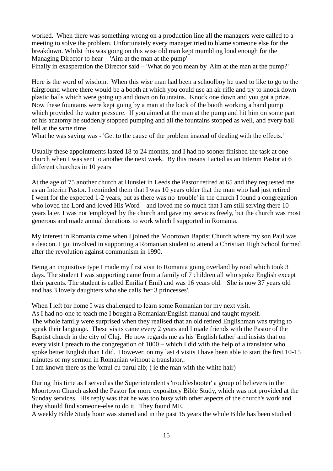worked. When there was something wrong on a production line all the managers were called to a meeting to solve the problem. Unfortunately every manager tried to blame someone else for the breakdown. Whilst this was going on this wise old man kept mumbling loud enough for the Managing Director to hear – 'Aim at the man at the pump'

Finally in exasperation the Director said – 'What do you mean by 'Aim at the man at the pump?'

Here is the word of wisdom. When this wise man had been a schoolboy he used to like to go to the fairground where there would be a booth at which you could use an air rifle and try to knock down plastic balls which were going up and down on fountains. Knock one down and you got a prize. Now these fountains were kept going by a man at the back of the booth working a hand pump which provided the water pressure. If you aimed at the man at the pump and hit him on some part of his anatomy he suddenly stopped pumping and all the fountains stopped as well, and every ball fell at the same time.

What he was saying was - 'Get to the cause of the problem instead of dealing with the effects.'

Usually these appointments lasted 18 to 24 months, and I had no sooner finished the task at one church when I was sent to another the next week. By this means I acted as an Interim Pastor at 6 different churches in 10 years

At the age of 75 another church at Hunslet in Leeds the Pastor retired at 65 and they requested me as an Interim Pastor. I reminded them that I was 10 years older that the man who had just retired I went for the expected 1-2 years, but as there was no 'trouble' in the church I found a congregation who loved the Lord and loved His Word – and loved me so much that I am still serving there 10 years later. I was not 'employed' by the church and gave my services freely, but the church was most generous and made annual donations to work which I supported in Romania.

My interest in Romania came when I joined the Moortown Baptist Church where my son Paul was a deacon. I got involved in supporting a Romanian student to attend a Christian High School formed after the revolution against communism in 1990.

Being an inquisitive type I made my first visit to Romania going overland by road which took 3 days. The student I was supporting came from a family of 7 children all who spoke English except their parents. The student is called Emilia ( Emi) and was 16 years old. She is now 37 years old and has 3 lovely daughters who she calls 'her 3 princesses'.

When I left for home I was challenged to learn some Romanian for my next visit. As I had no-one to teach me I bought a Romanian/English manual and taught myself. The whole family were surprised when they realised that an old retired Englishman was trying to speak their language. These visits came every 2 years and I made friends with the Pastor of the Baptist church in the city of Cluj. He now regards me as his 'English father' and insists that on every visit I preach to the congregation of 1000 – which I did with the help of a translator who spoke better English than I did. However, on my last 4 visits I have been able to start the first 10-15 minutes of my sermon in Romanian without a translator..

I am known there as the 'omul cu parul alb; ( ie the man with the white hair)

During this time as I served as the Superintendent's 'troubleshooter' a group of believers in the Moortown Church asked the Pastor for more expository Bible Study, which was not provided at the Sunday services. His reply was that he was too busy with other aspects of the church's work and they should find someone-else to do it. They found ME.

A weekly Bible Study hour was started and in the past 15 years the whole Bible has been studied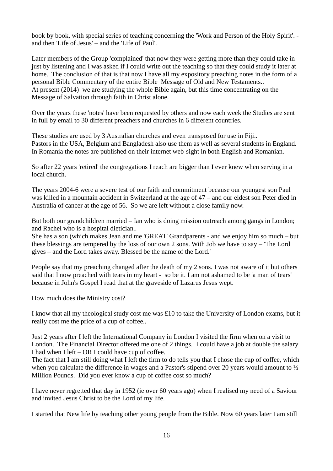book by book, with special series of teaching concerning the 'Work and Person of the Holy Spirit'. and then 'Life of Jesus' – and the 'Life of Paul'.

Later members of the Group 'complained' that now they were getting more than they could take in just by listening and I was asked if I could write out the teaching so that they could study it later at home. The conclusion of that is that now I have all my expository preaching notes in the form of a personal Bible Commentary of the entire Bible Message of Old and New Testaments.. At present (2014) we are studying the whole Bible again, but this time concentrating on the Message of Salvation through faith in Christ alone.

Over the years these 'notes' have been requested by others and now each week the Studies are sent in full by email to 30 different preachers and churches in 6 different countries.

These studies are used by 3 Australian churches and even transposed for use in Fiji.. Pastors in the USA, Belgium and Bangladesh also use them as well as several students in England. In Romania the notes are published on their internet web-sight in both English and Romanian.

So after 22 years 'retired' the congregations I reach are bigger than I ever knew when serving in a local church.

The years 2004-6 were a severe test of our faith and commitment because our youngest son Paul was killed in a mountain accident in Switzerland at the age of 47 – and our eldest son Peter died in Australia of cancer at the age of 56. So we are left without a close family now.

But both our grandchildren married – Ian who is doing mission outreach among gangs in London; and Rachel who is a hospital dietician..

She has a son (which makes Jean and me 'GREAT' Grandparents - and we enjoy him so much – but these blessings are tempered by the loss of our own 2 sons. With Job we have to say – 'The Lord gives – and the Lord takes away. Blessed be the name of the Lord.'

People say that my preaching changed after the death of my 2 sons. I was not aware of it but others said that I now preached with tears in my heart - so be it. I am not ashamed to be 'a man of tears' because in John's Gospel I read that at the graveside of Lazarus Jesus wept.

How much does the Ministry cost?

I know that all my theological study cost me was £10 to take the University of London exams, but it really cost me the price of a cup of coffee..

Just 2 years after I left the International Company in London I visited the firm when on a visit to London. The Financial Director offered me one of 2 things. I could have a job at double the salary I had when I left – OR I could have cup of coffee.

The fact that I am still doing what I left the firm to do tells you that I chose the cup of coffee, which when you calculate the difference in wages and a Pastor's stipend over 20 years would amount to  $\frac{1}{2}$ Million Pounds. Did you ever know a cup of coffee cost so much?

I have never regretted that day in 1952 (ie over 60 years ago) when I realised my need of a Saviour and invited Jesus Christ to be the Lord of my life.

I started that New life by teaching other young people from the Bible. Now 60 years later I am still